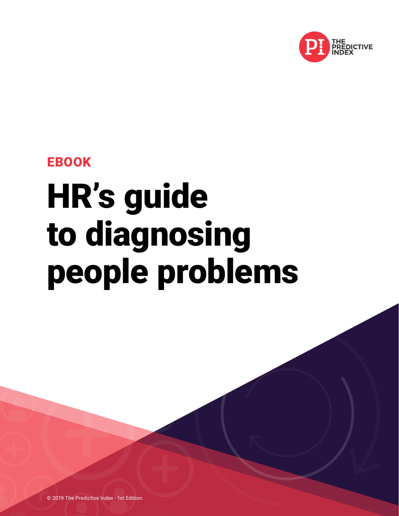

EBOOK

# HR's guide to diagnosing people problems

© 2019 The Predictive Index - 1st Edition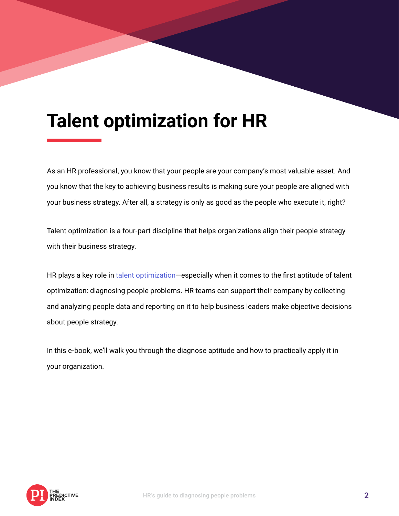## **Talent optimization for HR**

As an HR professional, you know that your people are your company's most valuable asset. And you know that the key to achieving business results is making sure your people are aligned with your business strategy. After all, a strategy is only as good as the people who execute it, right?

Talent optimization is a four-part discipline that helps organizations align their people strategy with their business strategy.

HR plays a key role in [talent optimization](http://www.talentoptimization.org)—especially when it comes to the first aptitude of talent optimization: diagnosing people problems. HR teams can support their company by collecting and analyzing people data and reporting on it to help business leaders make objective decisions about people strategy.

In this e-book, we'll walk you through the diagnose aptitude and how to practically apply it in your organization.

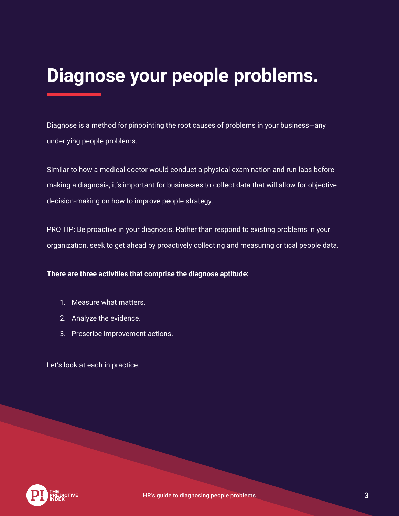# **Diagnose your people problems.**

Diagnose is a method for pinpointing the root causes of problems in your business—any underlying people problems.

Similar to how a medical doctor would conduct a physical examination and run labs before making a diagnosis, it's important for businesses to collect data that will allow for objective decision-making on how to improve people strategy.

PRO TIP: Be proactive in your diagnosis. Rather than respond to existing problems in your organization, seek to get ahead by proactively collecting and measuring critical people data.

**There are three activities that comprise the diagnose aptitude:**

- 1. Measure what matters.
- 2. Analyze the evidence.
- 3. Prescribe improvement actions.

Let's look at each in practice.

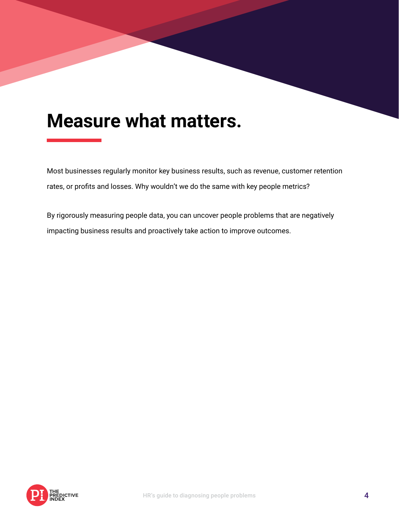### **Measure what matters.**

Most businesses regularly monitor key business results, such as revenue, customer retention rates, or profits and losses. Why wouldn't we do the same with key people metrics?

By rigorously measuring people data, you can uncover people problems that are negatively impacting business results and proactively take action to improve outcomes.

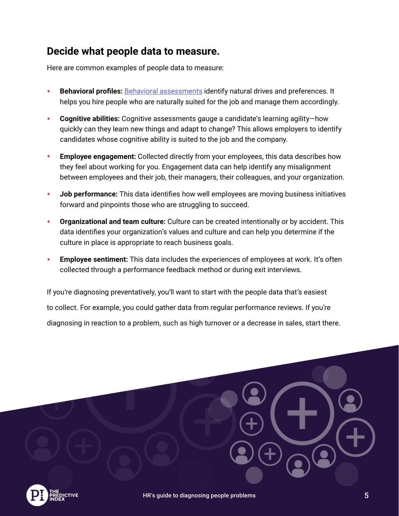### **Decide what people data to measure.**

Here are common examples of people data to measure:

- **Behavioral profiles: [Behavioral assessments](https://www.predictiveindex.com/our-solutions/assessments/behavioral-assessment/) identify natural drives and preferences. It** helps you hire people who are naturally suited for the job and manage them accordingly.
- **Cognitive abilities:** Cognitive assessments gauge a candidate's learning agility—how quickly can they learn new things and adapt to change? This allows employers to identify candidates whose cognitive ability is suited to the job and the company.
- **Employee engagement:** Collected directly from your employees, this data describes how they feel about working for you. Engagement data can help identify any misalignment between employees and their job, their managers, their colleagues, and your organization.
- **Job performance:** This data identifies how well employees are moving business initiatives forward and pinpoints those who are struggling to succeed.
- **Organizational and team culture:** Culture can be created intentionally or by accident. This data identifies your organization's values and culture and can help you determine if the culture in place is appropriate to reach business goals.
- **Employee sentiment:** This data includes the experiences of employees at work. It's often collected through a performance feedback method or during exit interviews.

If you're diagnosing preventatively, you'll want to start with the people data that's easiest to collect. For example, you could gather data from regular performance reviews. If you're diagnosing in reaction to a problem, such as high turnover or a decrease in sales, start there.

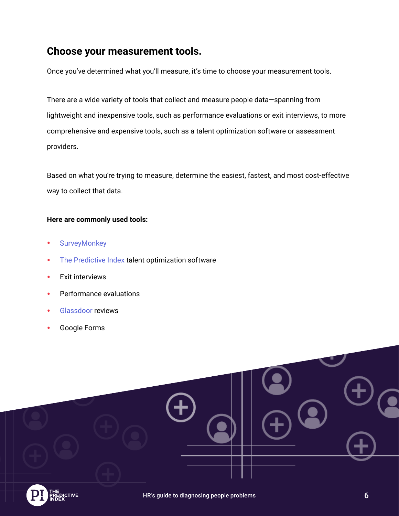### **Choose your measurement tools.**

Once you've determined what you'll measure, it's time to choose your measurement tools.

There are a wide variety of tools that collect and measure people data—spanning from lightweight and inexpensive tools, such as performance evaluations or exit interviews, to more comprehensive and expensive tools, such as a talent optimization software or assessment providers.

Based on what you're trying to measure, determine the easiest, fastest, and most cost-effective way to collect that data.

#### **Here are commonly used tools:**

- [SurveyMonkey](https://www.surveymonkey.com/)
- [The Predictive Index](https://www.predictiveindex.com/) talent optimization software
- Exit interviews
- Performance evaluations
- [Glassdoor](https://www.glassdoor.com/index.htm) reviews
- Google Forms

| $\Theta$ | $\bullet$ )<br>LOO |  |
|----------|--------------------|--|
|          | $\bigoplus$        |  |

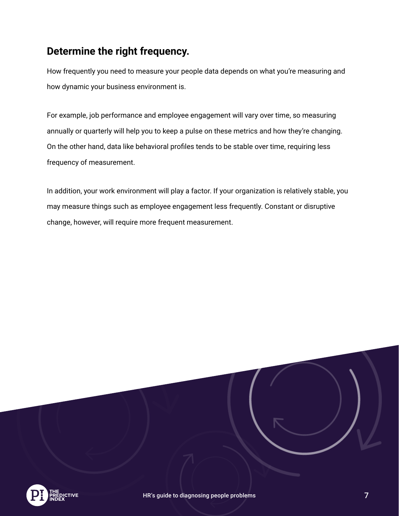### **Determine the right frequency.**

How frequently you need to measure your people data depends on what you're measuring and how dynamic your business environment is.

For example, job performance and employee engagement will vary over time, so measuring annually or quarterly will help you to keep a pulse on these metrics and how they're changing. On the other hand, data like behavioral profiles tends to be stable over time, requiring less frequency of measurement.

In addition, your work environment will play a factor. If your organization is relatively stable, you may measure things such as employee engagement less frequently. Constant or disruptive change, however, will require more frequent measurement.

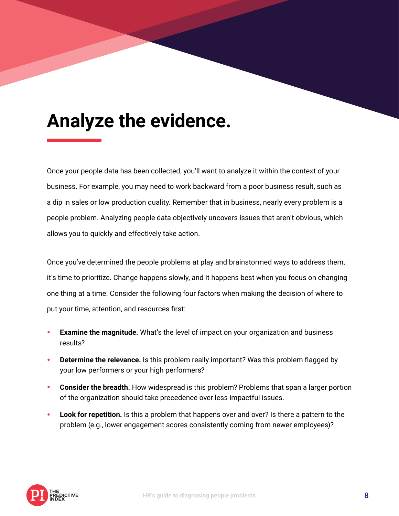## **Analyze the evidence.**

Once your people data has been collected, you'll want to analyze it within the context of your business. For example, you may need to work backward from a poor business result, such as a dip in sales or low production quality. Remember that in business, nearly every problem is a people problem. Analyzing people data objectively uncovers issues that aren't obvious, which allows you to quickly and effectively take action.

Once you've determined the people problems at play and brainstormed ways to address them, it's time to prioritize. Change happens slowly, and it happens best when you focus on changing one thing at a time. Consider the following four factors when making the decision of where to put your time, attention, and resources first:

- **Examine the magnitude.** What's the level of impact on your organization and business results?
- **Determine the relevance.** Is this problem really important? Was this problem flagged by your low performers or your high performers?
- **Consider the breadth.** How widespread is this problem? Problems that span a larger portion of the organization should take precedence over less impactful issues.
- **Look for repetition.** Is this a problem that happens over and over? Is there a pattern to the problem (e.g., lower engagement scores consistently coming from newer employees)?

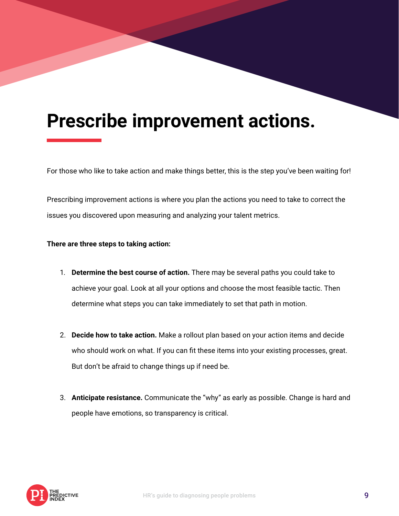## **Prescribe improvement actions.**

For those who like to take action and make things better, this is the step you've been waiting for!

Prescribing improvement actions is where you plan the actions you need to take to correct the issues you discovered upon measuring and analyzing your talent metrics.

#### **There are three steps to taking action:**

- 1. **Determine the best course of action.** There may be several paths you could take to achieve your goal. Look at all your options and choose the most feasible tactic. Then determine what steps you can take immediately to set that path in motion.
- 2. **Decide how to take action.** Make a rollout plan based on your action items and decide who should work on what. If you can fit these items into your existing processes, great. But don't be afraid to change things up if need be.
- 3. **Anticipate resistance.** Communicate the "why" as early as possible. Change is hard and people have emotions, so transparency is critical.